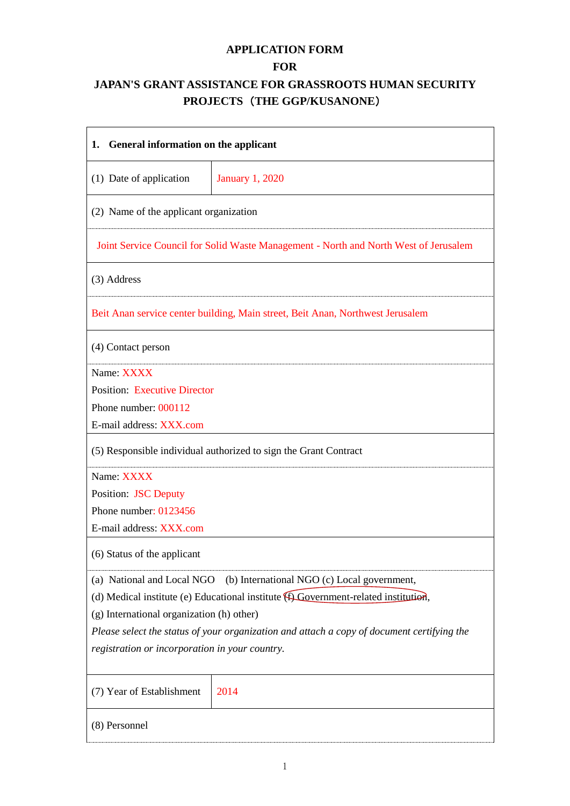# **APPLICATION FORM**

# **FOR**

# **JAPAN'S GRANT ASSISTANCE FOR GRASSROOTS HUMAN SECURITY PROJECTS**(**THE GGP/KUSANONE**)

| General information on the applicant<br>1.     |                                                                                            |  |  |
|------------------------------------------------|--------------------------------------------------------------------------------------------|--|--|
| (1) Date of application                        | <b>January 1, 2020</b>                                                                     |  |  |
| (2) Name of the applicant organization         |                                                                                            |  |  |
|                                                | Joint Service Council for Solid Waste Management - North and North West of Jerusalem       |  |  |
| (3) Address                                    |                                                                                            |  |  |
|                                                | Beit Anan service center building, Main street, Beit Anan, Northwest Jerusalem             |  |  |
| (4) Contact person                             |                                                                                            |  |  |
| Name: XXXX                                     |                                                                                            |  |  |
| <b>Position: Executive Director</b>            |                                                                                            |  |  |
| Phone number: 000112                           |                                                                                            |  |  |
| E-mail address: XXX.com                        |                                                                                            |  |  |
|                                                | (5) Responsible individual authorized to sign the Grant Contract                           |  |  |
| Name: XXXX                                     |                                                                                            |  |  |
| <b>Position: JSC Deputy</b>                    |                                                                                            |  |  |
| Phone number: 0123456                          |                                                                                            |  |  |
| E-mail address: XXX.com                        |                                                                                            |  |  |
| (6) Status of the applicant                    |                                                                                            |  |  |
|                                                | (a) National and Local NGO (b) International NGO (c) Local government,                     |  |  |
|                                                | (d) Medical institute (e) Educational institute (f) Government-related institution,        |  |  |
| (g) International organization (h) other)      |                                                                                            |  |  |
|                                                | Please select the status of your organization and attach a copy of document certifying the |  |  |
| registration or incorporation in your country. |                                                                                            |  |  |
| (7) Year of Establishment                      | 2014                                                                                       |  |  |
| (8) Personnel                                  |                                                                                            |  |  |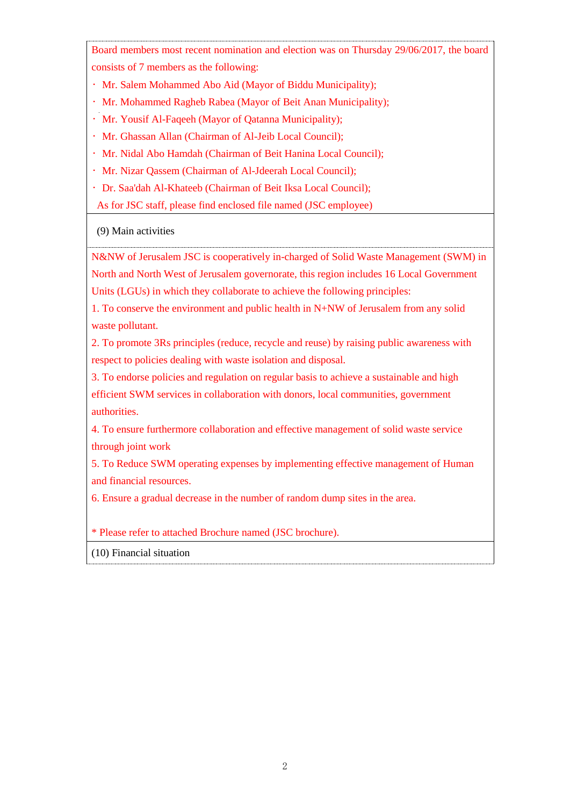Board members most recent nomination and election was on Thursday 29/06/2017, the board consists of 7 members as the following:

- Mr. Salem Mohammed Abo Aid (Mayor of Biddu Municipality);
- Mr. Mohammed Ragheb Rabea (Mayor of Beit Anan Municipality);
- Mr. Yousif Al-Faqeeh (Mayor of Qatanna Municipality);
- Mr. Ghassan Allan (Chairman of Al-Jeib Local Council);
- Mr. Nidal Abo Hamdah (Chairman of Beit Hanina Local Council);
- Mr. Nizar Qassem (Chairman of Al-Jdeerah Local Council);
- Dr. Saa'dah Al-Khateeb (Chairman of Beit Iksa Local Council);

As for JSC staff, please find enclosed file named (JSC employee)

### (9) Main activities

N&NW of Jerusalem JSC is cooperatively in-charged of Solid Waste Management (SWM) in

North and North West of Jerusalem governorate, this region includes 16 Local Government Units (LGUs) in which they collaborate to achieve the following principles:

1. To conserve the environment and public health in N+NW of Jerusalem from any solid waste pollutant.

2. To promote 3Rs principles (reduce, recycle and reuse) by raising public awareness with respect to policies dealing with waste isolation and disposal.

3. To endorse policies and regulation on regular basis to achieve a sustainable and high efficient SWM services in collaboration with donors, local communities, government authorities.

4. To ensure furthermore collaboration and effective management of solid waste service through joint work

5. To Reduce SWM operating expenses by implementing effective management of Human and financial resources.

6. Ensure a gradual decrease in the number of random dump sites in the area.

\* Please refer to attached Brochure named (JSC brochure).

(10) Financial situation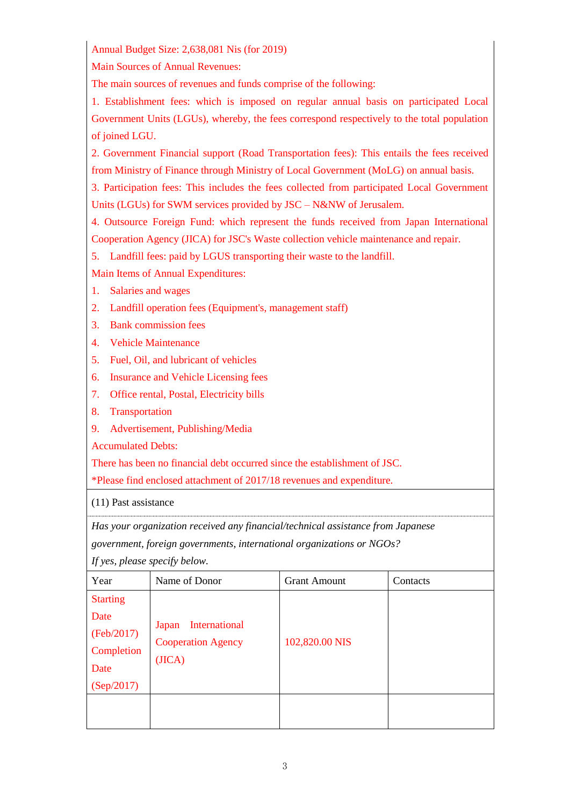Annual Budget Size: 2,638,081 Nis (for 2019)

Main Sources of Annual Revenues:

The main sources of revenues and funds comprise of the following:

1. Establishment fees: which is imposed on regular annual basis on participated Local Government Units (LGUs), whereby, the fees correspond respectively to the total population of joined LGU.

2. Government Financial support (Road Transportation fees): This entails the fees received from Ministry of Finance through Ministry of Local Government (MoLG) on annual basis.

3. Participation fees: This includes the fees collected from participated Local Government Units (LGUs) for SWM services provided by JSC – N&NW of Jerusalem.

4. Outsource Foreign Fund: which represent the funds received from Japan International Cooperation Agency (JICA) for JSC's Waste collection vehicle maintenance and repair.

5. Landfill fees: paid by LGUS transporting their waste to the landfill.

Main Items of Annual Expenditures:

- 1. Salaries and wages
- 2. Landfill operation fees (Equipment's, management staff)
- 3. Bank commission fees
- 4. Vehicle Maintenance
- 5. Fuel, Oil, and lubricant of vehicles
- 6. Insurance and Vehicle Licensing fees
- 7. Office rental, Postal, Electricity bills
- 8. Transportation
- 9. Advertisement, Publishing/Media

Accumulated Debts:

There has been no financial debt occurred since the establishment of JSC.

\*Please find enclosed attachment of 2017/18 revenues and expenditure.

(11) Past assistance

*Has your organization received any financial/technical assistance from Japanese government, foreign governments, international organizations or NGOs?*

*If yes, please specify below.* 

| Year                                                                      | Name of Donor                                                 | <b>Grant Amount</b> | Contacts |
|---------------------------------------------------------------------------|---------------------------------------------------------------|---------------------|----------|
| <b>Starting</b><br>Date<br>(Feb/2017)<br>Completion<br>Date<br>(Sep/2017) | International<br>Japan<br><b>Cooperation Agency</b><br>(JICA) | 102,820.00 NIS      |          |
|                                                                           |                                                               |                     |          |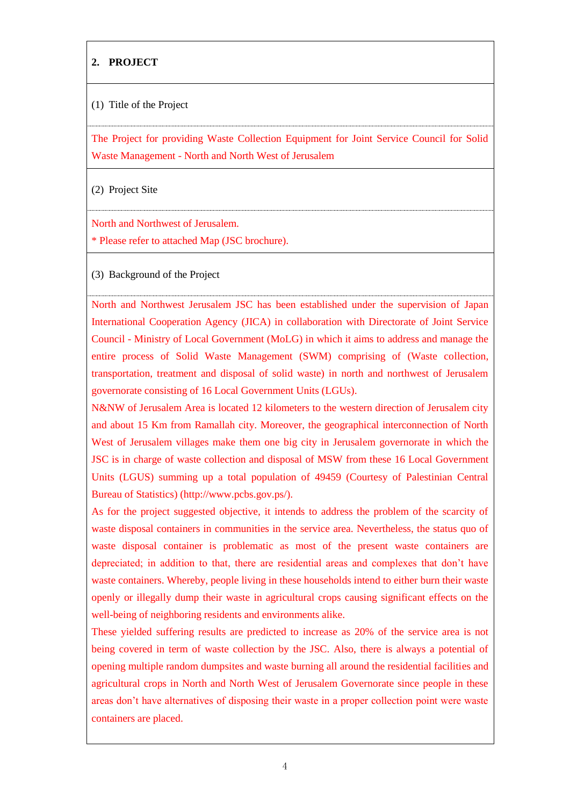### **2. PROJECT**

#### (1) Title of the Project

The Project for providing Waste Collection Equipment for Joint Service Council for Solid Waste Management - North and North West of Jerusalem

(2) Project Site

North and Northwest of Jerusalem.

\* Please refer to attached Map (JSC brochure).

(3) Background of the Project

North and Northwest Jerusalem JSC has been established under the supervision of Japan International Cooperation Agency (JICA) in collaboration with Directorate of Joint Service Council - Ministry of Local Government (MoLG) in which it aims to address and manage the entire process of Solid Waste Management (SWM) comprising of (Waste collection, transportation, treatment and disposal of solid waste) in north and northwest of Jerusalem governorate consisting of 16 Local Government Units (LGUs).

N&NW of Jerusalem Area is located 12 kilometers to the western direction of Jerusalem city and about 15 Km from Ramallah city. Moreover, the geographical interconnection of North West of Jerusalem villages make them one big city in Jerusalem governorate in which the JSC is in charge of waste collection and disposal of MSW from these 16 Local Government Units (LGUS) summing up a total population of 49459 (Courtesy of Palestinian Central Bureau of Statistics) (http://www.pcbs.gov.ps/).

As for the project suggested objective, it intends to address the problem of the scarcity of waste disposal containers in communities in the service area. Nevertheless, the status quo of waste disposal container is problematic as most of the present waste containers are depreciated; in addition to that, there are residential areas and complexes that don't have waste containers. Whereby, people living in these households intend to either burn their waste openly or illegally dump their waste in agricultural crops causing significant effects on the well-being of neighboring residents and environments alike.

These yielded suffering results are predicted to increase as 20% of the service area is not being covered in term of waste collection by the JSC. Also, there is always a potential of opening multiple random dumpsites and waste burning all around the residential facilities and agricultural crops in North and North West of Jerusalem Governorate since people in these areas don't have alternatives of disposing their waste in a proper collection point were waste containers are placed.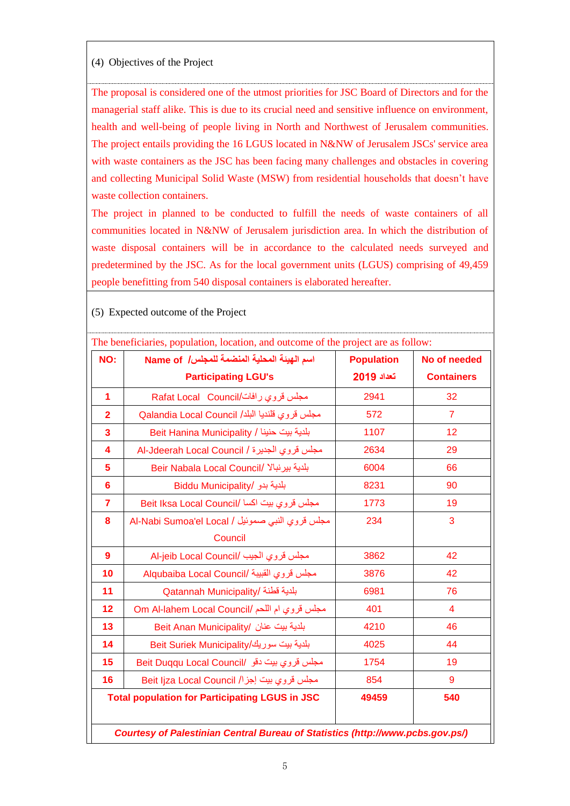#### (4) Objectives of the Project

The proposal is considered one of the utmost priorities for JSC Board of Directors and for the managerial staff alike. This is due to its crucial need and sensitive influence on environment, health and well-being of people living in North and Northwest of Jerusalem communities. The project entails providing the 16 LGUS located in N&NW of Jerusalem JSCs' service area with waste containers as the JSC has been facing many challenges and obstacles in covering and collecting Municipal Solid Waste (MSW) from residential households that doesn't have waste collection containers.

The project in planned to be conducted to fulfill the needs of waste containers of all communities located in N&NW of Jerusalem jurisdiction area. In which the distribution of waste disposal containers will be in accordance to the calculated needs surveyed and predetermined by the JSC. As for the local government units (LGUS) comprising of 49,459 people benefitting from 540 disposal containers is elaborated hereafter.

| NO:              | اسم الهيئة المحلية المنضمة للمجلس/ Name of            | <b>Population</b> | No of needed      |
|------------------|-------------------------------------------------------|-------------------|-------------------|
|                  | <b>Participating LGU's</b>                            | تعداد 2019        | <b>Containers</b> |
| 1                | مجلس قروي رافات/Rafat Local Council                   | 2941              | 32                |
| $\overline{2}$   | مجلس قروي قلنديا البلد/ Qalandia Local Council        | 572               | $\overline{7}$    |
| 3                | بلدية بيت حنينا / Beit Hanina Municipality            | 1107              | 12                |
| 4                | مجلس قروي الجديرة / Al-Jdeerah Local Council          | 2634              | 29                |
| 5                | Beir Nabala Local Council/ بلدية بيرنبالا             | 6004              | 66                |
| $6\phantom{a}$   | بلدية بدو /Biddu Municipality                         | 8231              | 90                |
| $\overline{7}$   | Beit Iksa Local Council/ مجلس قروي بيت اكسا           | 1773              | 19                |
| 8                | مجلس قروي النبي صموئيل / Al-Nabi Sumoa'el Local       | 234               | 3                 |
|                  | Council                                               |                   |                   |
| $\boldsymbol{9}$ | Al-jeib Local Council/ مجلس قروي الجيب                | 3862              | 42                |
| 10               | Alqubaiba Local Council/ مجلس قروي القبيبة            | 3876              | 42                |
| 11               | Qatannah Municipality/ بلدية قطنة                     | 6981              | 76                |
| 12               | Om Al-lahem Local Council/ مجلس قروي ام اللحم         | 401               | $\overline{4}$    |
| 13               | بلدية بيت عنان /Beit Anan Municipality                | 4210              | 46                |
| 14               | بلدية بيت سوريك/Beit Suriek Municipality              | 4025              | 44                |
| 15               | Beit Duqqu Local Council/ مجلس قروي بيت دقو           | 1754              | 19                |
| 16               | مجلس قروي بيت إجزا/ Beit Ijza Local Council           | 854               | 9                 |
|                  | <b>Total population for Participating LGUS in JSC</b> | 49459             | 540               |

(5) Expected outcome of the Project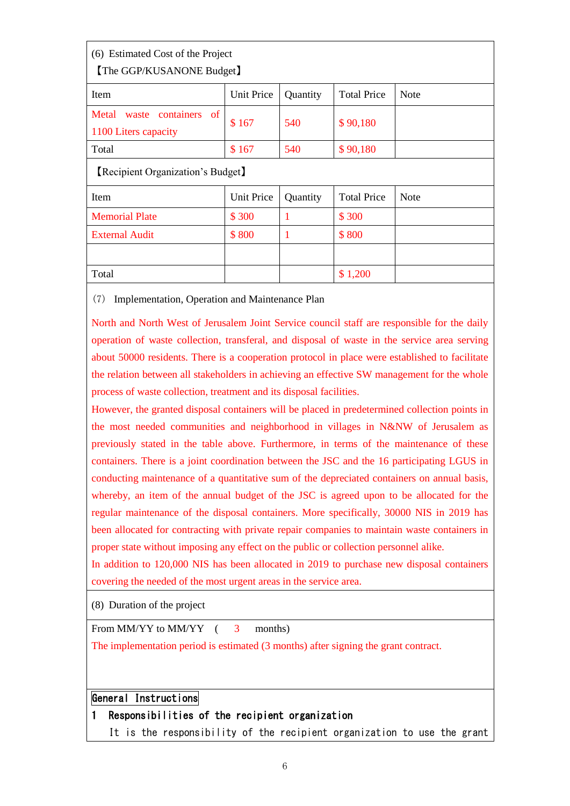| (6) Estimated Cost of the Project<br><b>The GGP/KUSANONE Budget</b> |                   |              |                    |             |  |
|---------------------------------------------------------------------|-------------------|--------------|--------------------|-------------|--|
| <b>Item</b>                                                         | <b>Unit Price</b> | Quantity     | <b>Total Price</b> | <b>Note</b> |  |
| containers of<br>Metal<br>waste<br>1100 Liters capacity             | \$167             | 540          | \$90,180           |             |  |
| Total                                                               | \$167             | 540          | \$90,180           |             |  |
| [Recipient Organization's Budget]                                   |                   |              |                    |             |  |
| Item                                                                | <b>Unit Price</b> | Quantity     | <b>Total Price</b> | <b>Note</b> |  |
| <b>Memorial Plate</b>                                               | \$300             | $\mathbf{1}$ | \$300              |             |  |
| <b>External Audit</b>                                               | \$800             | $\mathbf{1}$ | \$800              |             |  |
|                                                                     |                   |              |                    |             |  |
| Total                                                               |                   |              | \$1,200            |             |  |

(7) Implementation, Operation and Maintenance Plan

North and North West of Jerusalem Joint Service council staff are responsible for the daily operation of waste collection, transferal, and disposal of waste in the service area serving about 50000 residents. There is a cooperation protocol in place were established to facilitate the relation between all stakeholders in achieving an effective SW management for the whole process of waste collection, treatment and its disposal facilities.

However, the granted disposal containers will be placed in predetermined collection points in the most needed communities and neighborhood in villages in N&NW of Jerusalem as previously stated in the table above. Furthermore, in terms of the maintenance of these containers. There is a joint coordination between the JSC and the 16 participating LGUS in conducting maintenance of a quantitative sum of the depreciated containers on annual basis, whereby, an item of the annual budget of the JSC is agreed upon to be allocated for the regular maintenance of the disposal containers. More specifically, 30000 NIS in 2019 has been allocated for contracting with private repair companies to maintain waste containers in proper state without imposing any effect on the public or collection personnel alike.

In addition to 120,000 NIS has been allocated in 2019 to purchase new disposal containers covering the needed of the most urgent areas in the service area.

(8) Duration of the project

From MM/YY to MM/YY (3 months)

The implementation period is estimated (3 months) after signing the grant contract.

### General Instructions

### 1 Responsibilities of the recipient organization

It is the responsibility of the recipient organization to use the grant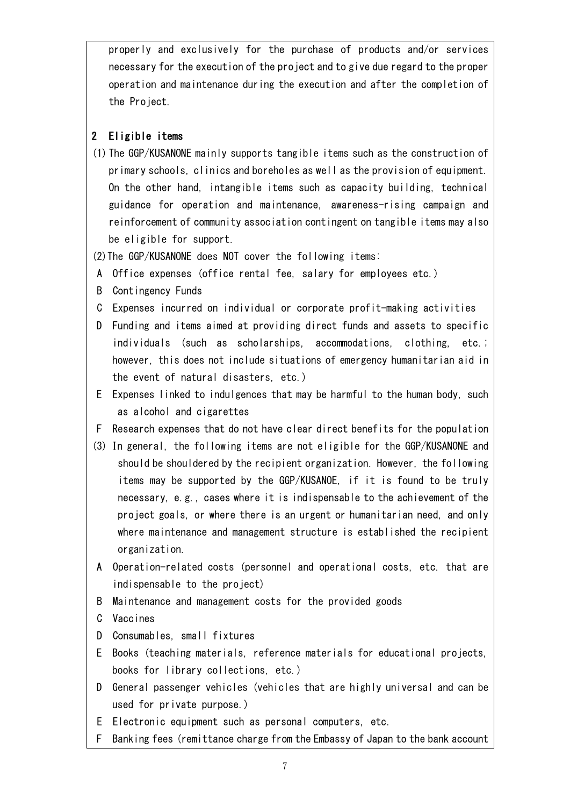properly and exclusively for the purchase of products and/or services necessary for the execution of the project and to give due regard to the proper operation and maintenance during the execution and after the completion of the Project.

# 2 Eligible items

- (1) The GGP/KUSANONE mainly supports tangible items such as the construction of primary schools, clinics and boreholes as well as the provision of equipment. On the other hand, intangible items such as capacity building, technical guidance for operation and maintenance, awareness-rising campaign and reinforcement of community association contingent on tangible items may also be eligible for support.
- (2)The GGP/KUSANONE does NOT cover the following items:
- A Office expenses (office rental fee, salary for employees etc.)
- B Contingency Funds
- C Expenses incurred on individual or corporate profit-making activities
- D Funding and items aimed at providing direct funds and assets to specific individuals (such as scholarships, accommodations, clothing, etc.; however, this does not include situations of emergency humanitarian aid in the event of natural disasters, etc.)
- E Expenses linked to indulgences that may be harmful to the human body, such as alcohol and cigarettes
- F Research expenses that do not have clear direct benefits for the population
- (3) In general, the following items are not eligible for the GGP/KUSANONE and should be shouldered by the recipient organization. However, the following items may be supported by the GGP/KUSANOE, if it is found to be truly necessary, e.g., cases where it is indispensable to the achievement of the project goals, or where there is an urgent or humanitarian need, and only where maintenance and management structure is established the recipient organization.
- A Operation-related costs (personnel and operational costs, etc. that are indispensable to the project)
- B Maintenance and management costs for the provided goods
- C Vaccines
- D Consumables, small fixtures
- E Books (teaching materials, reference materials for educational projects, books for library collections, etc.)
- D General passenger vehicles (vehicles that are highly universal and can be used for private purpose.)
- E Electronic equipment such as personal computers, etc.
- F Banking fees (remittance charge from the Embassy of Japan to the bank account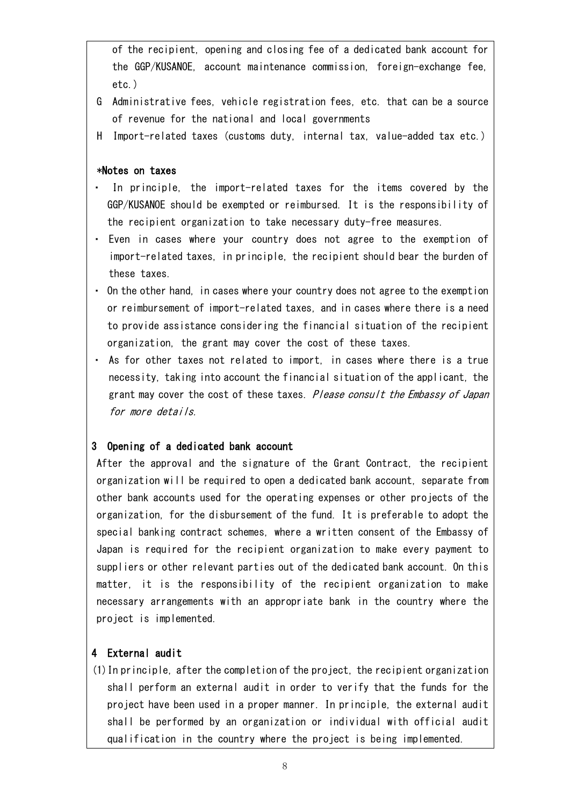of the recipient, opening and closing fee of a dedicated bank account for the GGP/KUSANOE, account maintenance commission, foreign-exchange fee, etc.)

- G Administrative fees, vehicle registration fees, etc. that can be a source of revenue for the national and local governments
- H Import-related taxes (customs duty, internal tax, value-added tax etc.)

#### \*Notes on taxes

- In principle, the import-related taxes for the items covered by the GGP/KUSANOE should be exempted or reimbursed. It is the responsibility of the recipient organization to take necessary duty-free measures.
- ・ Even in cases where your country does not agree to the exemption of import-related taxes, in principle, the recipient should bear the burden of these taxes.
- ・ On the other hand, in cases where your country does not agree to the exemption or reimbursement of import-related taxes, and in cases where there is a need to provide assistance considering the financial situation of the recipient organization, the grant may cover the cost of these taxes.
- ・ As for other taxes not related to import, in cases where there is a true necessity, taking into account the financial situation of the applicant, the grant may cover the cost of these taxes. Please consult the Embassy of Japan for more details.

# 3 Opening of a dedicated bank account

After the approval and the signature of the Grant Contract, the recipient organization will be required to open a dedicated bank account, separate from other bank accounts used for the operating expenses or other projects of the organization, for the disbursement of the fund. It is preferable to adopt the special banking contract schemes, where a written consent of the Embassy of Japan is required for the recipient organization to make every payment to suppliers or other relevant parties out of the dedicated bank account. On this matter, it is the responsibility of the recipient organization to make necessary arrangements with an appropriate bank in the country where the project is implemented.

# 4 External audit

(1)In principle, after the completion of the project, the recipient organization shall perform an external audit in order to verify that the funds for the project have been used in a proper manner. In principle, the external audit shall be performed by an organization or individual with official audit qualification in the country where the project is being implemented.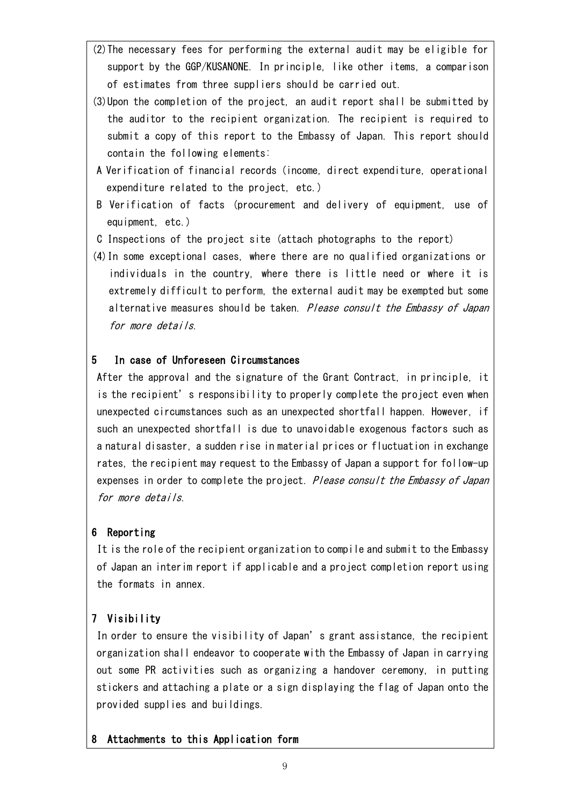- (2)The necessary fees for performing the external audit may be eligible for support by the GGP/KUSANONE. In principle, like other items, a comparison of estimates from three suppliers should be carried out.
- (3)Upon the completion of the project, an audit report shall be submitted by the auditor to the recipient organization. The recipient is required to submit a copy of this report to the Embassy of Japan. This report should contain the following elements:
- A Verification of financial records (income, direct expenditure, operational expenditure related to the project, etc.)
- B Verification of facts (procurement and delivery of equipment, use of equipment, etc.)
- C Inspections of the project site (attach photographs to the report)
- (4)In some exceptional cases, where there are no qualified organizations or individuals in the country, where there is little need or where it is extremely difficult to perform, the external audit may be exempted but some alternative measures should be taken. Please consult the Embassy of Japan for more details.

# 5 In case of Unforeseen Circumstances

After the approval and the signature of the Grant Contract, in principle, it is the recipient's responsibility to properly complete the project even when unexpected circumstances such as an unexpected shortfall happen. However, if such an unexpected shortfall is due to unavoidable exogenous factors such as a natural disaster, a sudden rise in material prices or fluctuation in exchange rates, the recipient may request to the Embassy of Japan a support for follow-up expenses in order to complete the project. *Please consult the Embassy of Japan* for more details.

# 6 Reporting

It is the role of the recipient organization to compile and submit to the Embassy of Japan an interim report if applicable and a project completion report using the formats in annex.

# 7 Visibility

In order to ensure the visibility of Japan's grant assistance, the recipient organization shall endeavor to cooperate with the Embassy of Japan in carrying out some PR activities such as organizing a handover ceremony, in putting stickers and attaching a plate or a sign displaying the flag of Japan onto the provided supplies and buildings.

# 8 Attachments to this Application form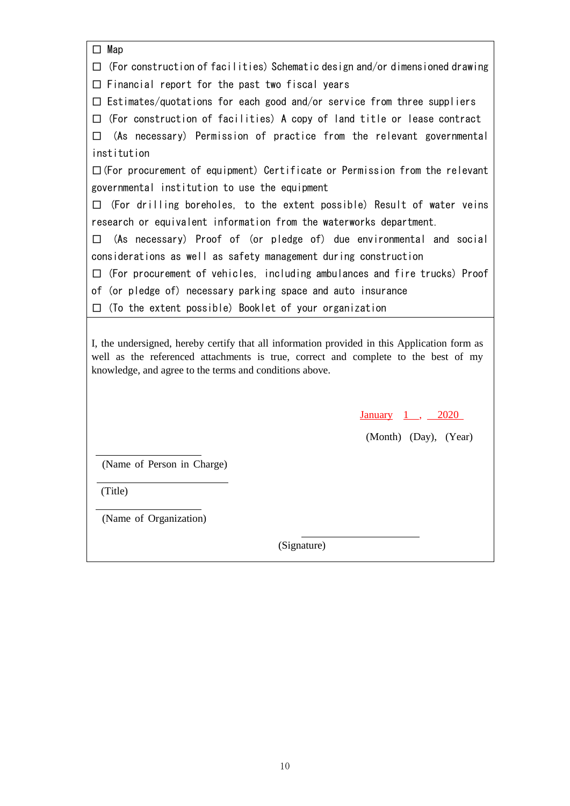| $\square$ Map                                                                                                                                                                                                                                 |
|-----------------------------------------------------------------------------------------------------------------------------------------------------------------------------------------------------------------------------------------------|
| (For construction of facilities) Schematic design and/or dimensioned drawing<br>П                                                                                                                                                             |
| Financial report for the past two fiscal years<br>П                                                                                                                                                                                           |
| $\Box$ Estimates/quotations for each good and/or service from three suppliers                                                                                                                                                                 |
| (For construction of facilities) A copy of land title or lease contract<br>п                                                                                                                                                                  |
| (As necessary) Permission of practice from the relevant governmental<br>П                                                                                                                                                                     |
| institution                                                                                                                                                                                                                                   |
| $\Box$ (For procurement of equipment) Certificate or Permission from the relevant                                                                                                                                                             |
| governmental institution to use the equipment                                                                                                                                                                                                 |
| (For drilling boreholes, to the extent possible) Result of water veins<br>П                                                                                                                                                                   |
| research or equivalent information from the waterworks department.                                                                                                                                                                            |
| (As necessary) Proof of (or pledge of) due environmental and social<br>П                                                                                                                                                                      |
| considerations as well as safety management during construction                                                                                                                                                                               |
| (For procurement of vehicles, including ambulances and fire trucks) Proof<br>П                                                                                                                                                                |
| of (or pledge of) necessary parking space and auto insurance                                                                                                                                                                                  |
| (To the extent possible) Booklet of your organization<br>П                                                                                                                                                                                    |
| I, the undersigned, hereby certify that all information provided in this Application form as<br>well as the referenced attachments is true, correct and complete to the best of my<br>knowledge, and agree to the terms and conditions above. |
| $\frac{\text{January}}{\text{1}}$ , $\frac{2020}{\text{1}}$                                                                                                                                                                                   |
| (Month) (Day), (Year)                                                                                                                                                                                                                         |
| (Name of Person in Charge)                                                                                                                                                                                                                    |
|                                                                                                                                                                                                                                               |
| (Title)                                                                                                                                                                                                                                       |
| (Name of Organization)                                                                                                                                                                                                                        |

(Signature)